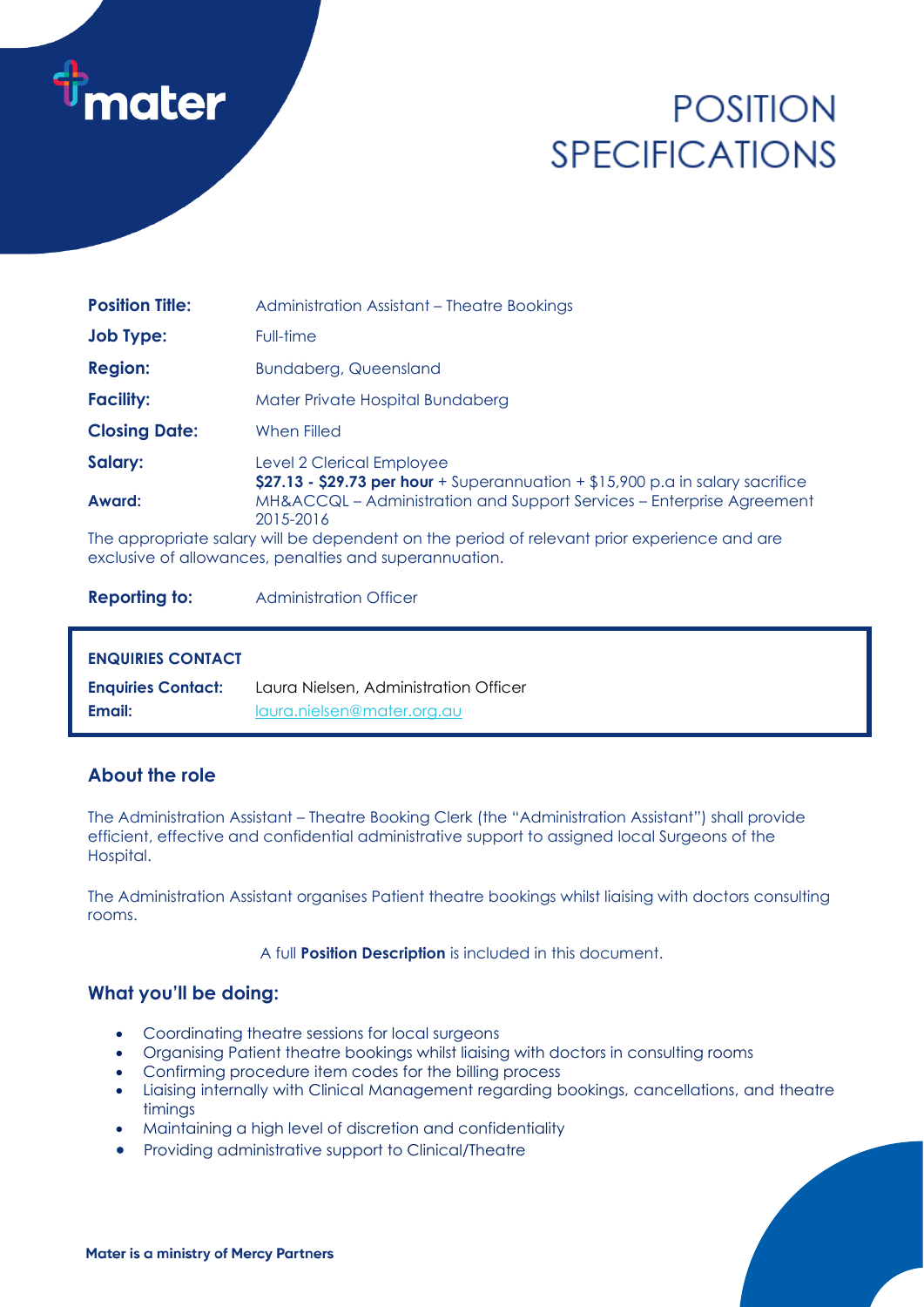

# **POSITION SPECIFICATIONS**

| <b>Position Title:</b> | Administration Assistant - Theatre Bookings                                                                  |  |
|------------------------|--------------------------------------------------------------------------------------------------------------|--|
| <b>Job Type:</b>       | Full-time                                                                                                    |  |
| <b>Region:</b>         | <b>Bundaberg, Queensland</b>                                                                                 |  |
| <b>Facility:</b>       | Mater Private Hospital Bundaberg                                                                             |  |
| <b>Closing Date:</b>   | When Filled                                                                                                  |  |
| Salary:                | Level 2 Clerical Employee<br>\$27.13 - \$29.73 per hour + Superannuation + $$15,900$ p.a in salary sacrifice |  |
| Award:                 | MH&ACCQL – Administration and Support Services – Enterprise Agreement<br>2015-2016                           |  |
|                        | The appropriate salary will be dependent on the period of relevant prior experience and are                  |  |

exclusive of allowances, penalties and superannuation.

**Reporting to:** Administration Officer

#### **ENQUIRIES CONTACT**

| <b>Enquiries Contact:</b> | Laura Nielsen, Administration Officer |
|---------------------------|---------------------------------------|
| Email:                    | laura.nielsen@mater.org.au            |

# **About the role**

The Administration Assistant – Theatre Booking Clerk (the "Administration Assistant") shall provide efficient, effective and confidential administrative support to assigned local Surgeons of the Hospital.

The Administration Assistant organises Patient theatre bookings whilst liaising with doctors consulting rooms.

A full **Position Description** is included in this document.

# **What you'll be doing:**

- Coordinating theatre sessions for local surgeons
- Organising Patient theatre bookings whilst liaising with doctors in consulting rooms
- Confirming procedure item codes for the billing process
- Liaising internally with Clinical Management regarding bookings, cancellations, and theatre timings
- Maintaining a high level of discretion and confidentiality
- Providing administrative support to Clinical/Theatre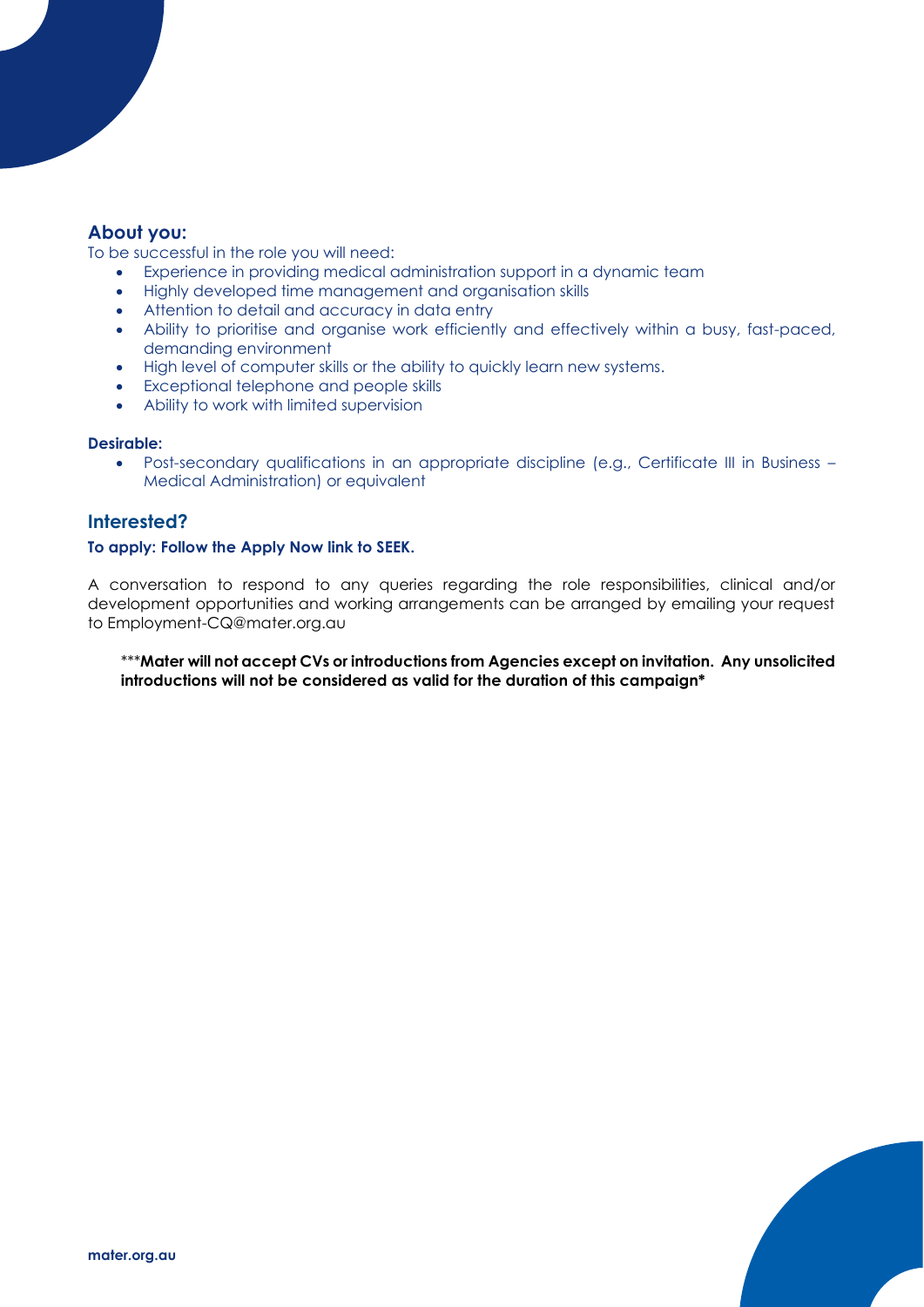# **About you:**

To be successful in the role you will need:

- Experience in providing medical administration support in a dynamic team
- Highly developed time management and organisation skills
- Attention to detail and accuracy in data entry
- Ability to prioritise and organise work efficiently and effectively within a busy, fast-paced, demanding environment
- High level of computer skills or the ability to quickly learn new systems.
- Exceptional telephone and people skills
- Ability to work with limited supervision

#### **Desirable:**

• Post-secondary qualifications in an appropriate discipline (e.g., Certificate III in Business – Medical Administration) or equivalent

# **Interested?**

#### **To apply: Follow the Apply Now link to SEEK.**

A conversation to respond to any queries regarding the role responsibilities, clinical and/or development opportunities and working arrangements can be arranged by emailing your request to Employment-CQ@mater.org.au

\*\*\***Mater will not accept CVs or introductions from Agencies except on invitation. Any unsolicited introductions will not be considered as valid for the duration of this campaign\***

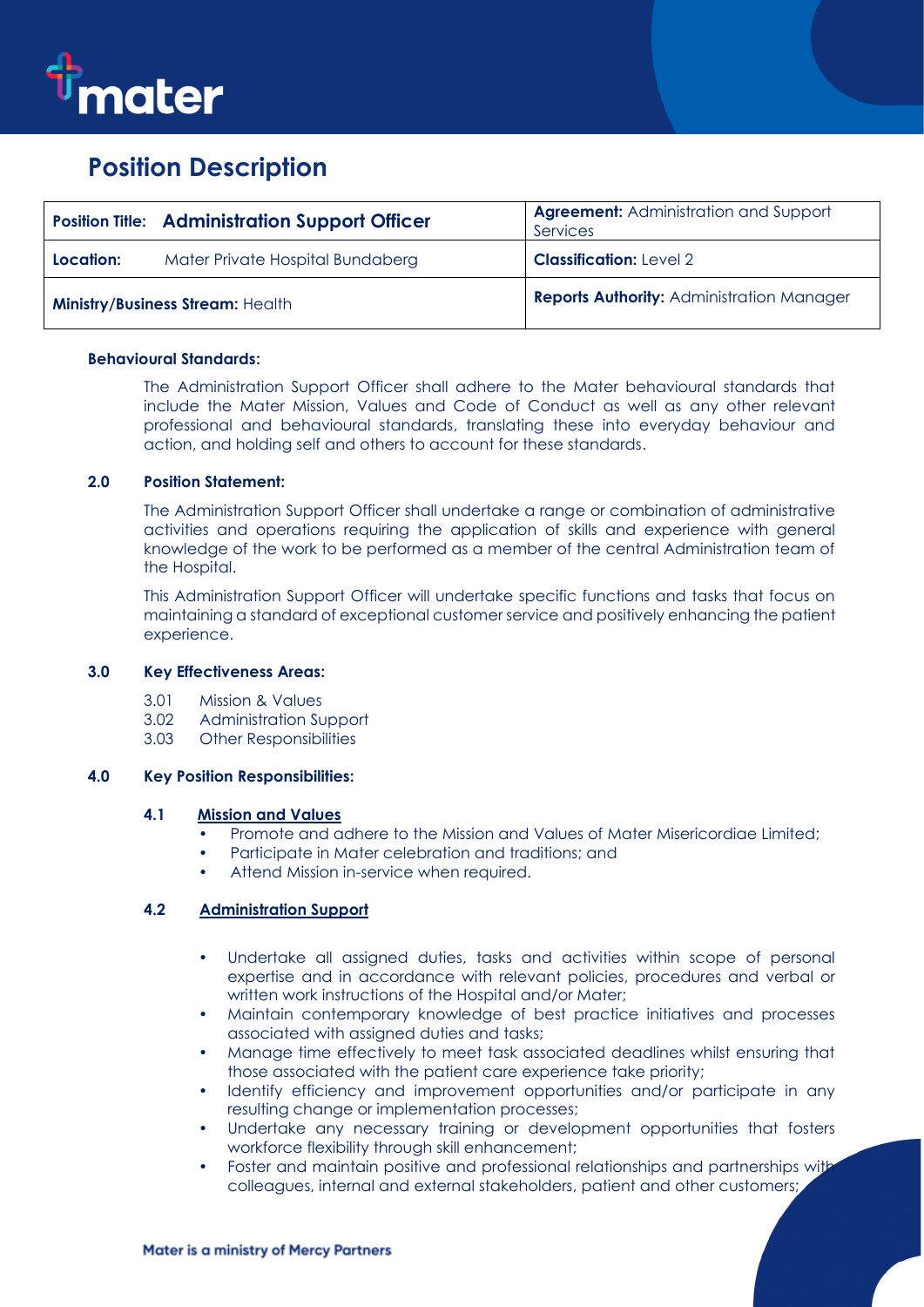

# **Position Description**

|                                         | <b>Position Title: Administration Support Officer</b> | <b>Agreement: Administration and Support</b><br>Services |
|-----------------------------------------|-------------------------------------------------------|----------------------------------------------------------|
| Location:                               | Mater Private Hospital Bundaberg                      | <b>Classification: Level 2</b>                           |
| <b>Ministry/Business Stream: Health</b> |                                                       | <b>Reports Authority: Administration Manager</b>         |

#### **Behavioural Standards:**

The Administration Support Officer shall adhere to the Mater behavioural standards that include the Mater Mission, Values and Code of Conduct as well as any other relevant professional and behavioural standards, translating these into everyday behaviour and action, and holding self and others to account for these standards.

#### **2.0 Position Statement:**

The Administration Support Officer shall undertake a range or combination of administrative activities and operations requiring the application of skills and experience with general knowledge of the work to be performed as a member of the central Administration team of the Hospital.

This Administration Support Officer will undertake specific functions and tasks that focus on maintaining a standard of exceptional customer service and positively enhancing the patient experience.

# **3.0 Key Effectiveness Areas:**

- 3.01 Mission & Values
- 3.02 Administration Support
- 3.03 Other Responsibilities

#### **4.0 Key Position Responsibilities:**

#### **4.1 Mission and Values**

- Promote and adhere to the Mission and Values of Mater Misericordiae Limited;
- Participate in Mater celebration and traditions; and
- Attend Mission in-service when required.

#### **4.2 Administration Support**

- Undertake all assigned duties, tasks and activities within scope of personal expertise and in accordance with relevant policies, procedures and verbal or written work instructions of the Hospital and/or Mater;
- Maintain contemporary knowledge of best practice initiatives and processes associated with assigned duties and tasks;
- Manage time effectively to meet task associated deadlines whilst ensuring that those associated with the patient care experience take priority;
- Identify efficiency and improvement opportunities and/or participate in any resulting change or implementation processes;
- Undertake any necessary training or development opportunities that fosters workforce flexibility through skill enhancement;
- Foster and maintain positive and professional relationships and partnerships with colleagues, internal and external stakeholders, patient and other customers;